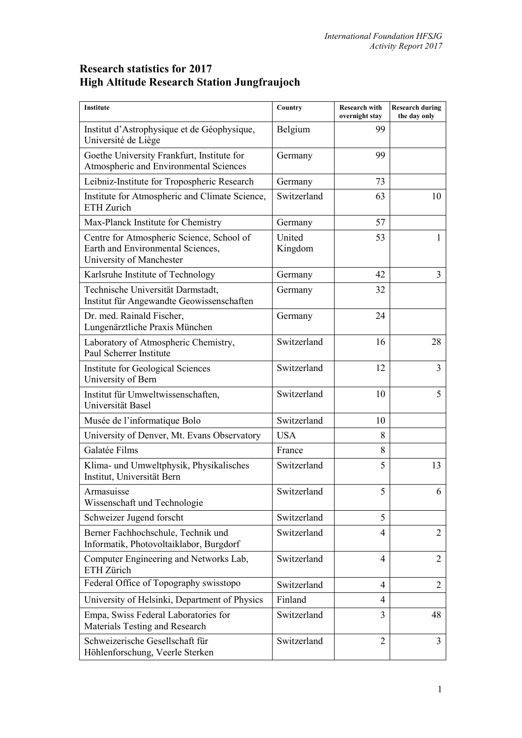## **Research statistics for 2017 High Altitude Research Station Jungfraujoch**

| <b>Institute</b>                                                                                           | Country           | <b>Research with</b><br>overnight stay | <b>Research during</b><br>the day only |
|------------------------------------------------------------------------------------------------------------|-------------------|----------------------------------------|----------------------------------------|
| Institut d'Astrophysique et de Géophysique,<br>Université de Liège                                         | Belgium           | 99                                     |                                        |
| Goethe University Frankfurt, Institute for<br>Atmospheric and Environmental Sciences                       | Germany           | 99                                     |                                        |
| Leibniz-Institute for Tropospheric Research                                                                | Germany           | 73                                     |                                        |
| Institute for Atmospheric and Climate Science,<br>ETH Zurich                                               | Switzerland       | 63                                     | 10                                     |
| Max-Planck Institute for Chemistry                                                                         | Germany           | 57                                     |                                        |
| Centre for Atmospheric Science, School of<br>Earth and Environmental Sciences,<br>University of Manchester | United<br>Kingdom | 53                                     | 1                                      |
| Karlsruhe Institute of Technology                                                                          | Germany           | 42                                     | 3                                      |
| Technische Universität Darmstadt,<br>Institut für Angewandte Geowissenschaften                             | Germany           | 32                                     |                                        |
| Dr. med. Rainald Fischer,<br>Lungenärztliche Praxis München                                                | Germany           | 24                                     |                                        |
| Laboratory of Atmospheric Chemistry,<br>Paul Scherrer Institute                                            | Switzerland       | 16                                     | 28                                     |
| Institute for Geological Sciences<br>University of Bern                                                    | Switzerland       | 12                                     | 3                                      |
| Institut für Umweltwissenschaften,<br>Universität Basel                                                    | Switzerland       | 10                                     | 5                                      |
| Musée de l'informatique Bolo                                                                               | Switzerland       | 10                                     |                                        |
| University of Denver, Mt. Evans Observatory                                                                | <b>USA</b>        | 8                                      |                                        |
| Galatée Films                                                                                              | France            | 8                                      |                                        |
| Klima- und Umweltphysik, Physikalisches<br>Institut, Universität Bern                                      | Switzerland       | 5                                      | 13                                     |
| Armasuisse<br>Wissenschaft und Technologie                                                                 | Switzerland       | 5                                      | 6                                      |
| Schweizer Jugend forscht                                                                                   | Switzerland       | 5                                      |                                        |
| Berner Fachhochschule, Technik und<br>Informatik, Photovoltaiklabor, Burgdorf                              | Switzerland       | 4                                      | $\overline{2}$                         |
| Computer Engineering and Networks Lab,<br>ETH Zürich                                                       | Switzerland       | $\overline{4}$                         | $\overline{2}$                         |
| Federal Office of Topography swisstopo                                                                     | Switzerland       | 4                                      | $\overline{2}$                         |
| University of Helsinki, Department of Physics                                                              | Finland           | 4                                      |                                        |
| Empa, Swiss Federal Laboratories for<br>Materials Testing and Research                                     | Switzerland       | 3                                      | 48                                     |
| Schweizerische Gesellschaft für<br>Höhlenforschung, Veerle Sterken                                         | Switzerland       | $\overline{2}$                         | $\overline{3}$                         |